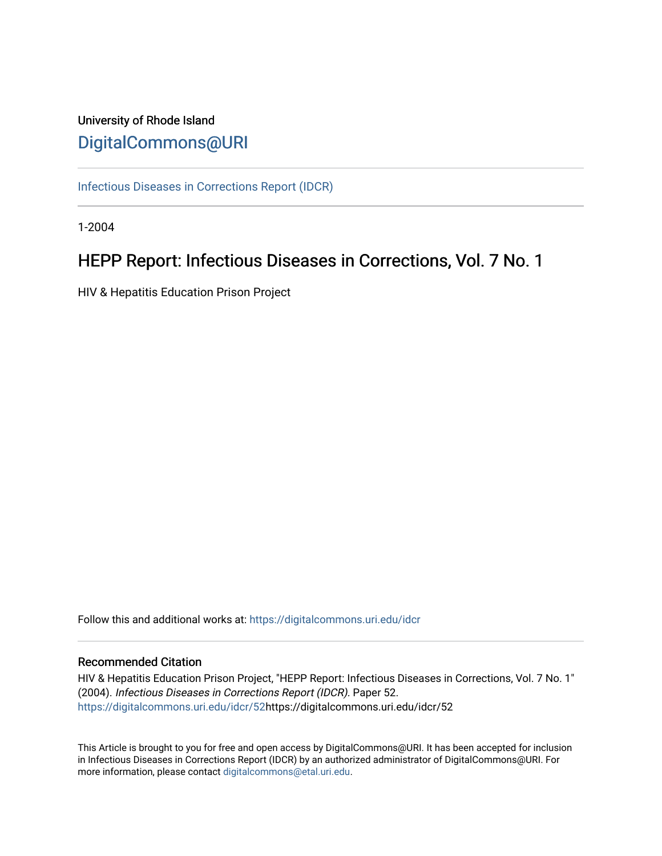# University of Rhode Island [DigitalCommons@URI](https://digitalcommons.uri.edu/)

[Infectious Diseases in Corrections Report \(IDCR\)](https://digitalcommons.uri.edu/idcr)

1-2004

# HEPP Report: Infectious Diseases in Corrections, Vol. 7 No. 1

HIV & Hepatitis Education Prison Project

Follow this and additional works at: [https://digitalcommons.uri.edu/idcr](https://digitalcommons.uri.edu/idcr?utm_source=digitalcommons.uri.edu%2Fidcr%2F52&utm_medium=PDF&utm_campaign=PDFCoverPages)

# Recommended Citation

HIV & Hepatitis Education Prison Project, "HEPP Report: Infectious Diseases in Corrections, Vol. 7 No. 1" (2004). Infectious Diseases in Corrections Report (IDCR). Paper 52. [https://digitalcommons.uri.edu/idcr/52h](https://digitalcommons.uri.edu/idcr/52?utm_source=digitalcommons.uri.edu%2Fidcr%2F52&utm_medium=PDF&utm_campaign=PDFCoverPages)ttps://digitalcommons.uri.edu/idcr/52

This Article is brought to you for free and open access by DigitalCommons@URI. It has been accepted for inclusion in Infectious Diseases in Corrections Report (IDCR) by an authorized administrator of DigitalCommons@URI. For more information, please contact [digitalcommons@etal.uri.edu.](mailto:digitalcommons@etal.uri.edu)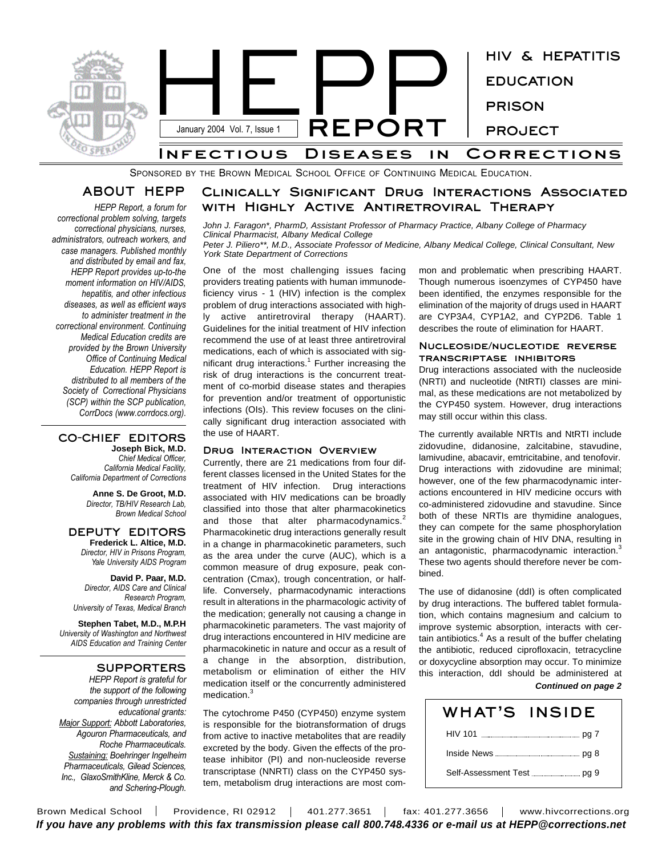

SPONSORED BY THE BROWN MEDICAL SCHOOL OFFICE OF CONTINUING MEDICAL EDUCATION.

# **ABOUT HEPP**

*HEPP Report, a forum for correctional problem solving, targets correctional physicians, nurses, administrators, outreach workers, and case managers. Published monthly and distributed by email and fax, HEPP Report provides up-to-the moment information on HIV/AIDS, hepatitis, and other infectious diseases, as well as efficient ways to administer treatment in the correctional environment. Continuing Medical Education credits are provided by the Brown University Office of Continuing Medical Education. HEPP Report is distributed to all members of the Society of Correctional Physicians (SCP) within the SCP publication, CorrDocs (www.corrdocs.org).*

### **CO-CHIEF EDITORS Joseph Bick, M.D.**

*Chief Medical Officer, California Medical Facility, California Department of Corrections*

> **Anne S. De Groot, M.D.** *Director, TB/HIV Research Lab, Brown Medical School*

### **DEPUTY EDITORS Frederick L. Altice, M.D.**

*Director, HIV in Prisons Program, Yale University AIDS Program*

**David P. Paar, M.D.** *Director, AIDS Care and Clinical Research Program, University of Texas, Medical Branch*

**Stephen Tabet, M.D., M.P.H** *University of Washington and Northwest AIDS Education and Training Center*

# **SUPPORTERS**

*HEPP Report is grateful for the support of the following companies through unrestricted educational grants: Major Support: Abbott Laboratories, Agouron Pharmaceuticals, and Roche Pharmaceuticals. Sustaining: Boehringer Ingelheim Pharmaceuticals, Gilead Sciences, Inc., GlaxoSmithKline, Merck & Co. and Schering-Plough.*

# **Clinically Significant Drug Interactions Associated with Highly Active Antiretroviral Therapy**

*John J. Faragon\*, PharmD, Assistant Professor of Pharmacy Practice, Albany College of Pharmacy Clinical Pharmacist, Albany Medical College*

*Peter J. Piliero\*\*, M.D., Associate Professor of Medicine, Albany Medical College, Clinical Consultant, New York State Department of Corrections*

One of the most challenging issues facing providers treating patients with human immunodeficiency virus - 1 (HIV) infection is the complex problem of drug interactions associated with highly active antiretroviral therapy (HAART). Guidelines for the initial treatment of HIV infection recommend the use of at least three antiretroviral medications, each of which is associated with significant drug interactions.<sup>1</sup> Further increasing the

risk of drug interactions is the concurrent treatment of co-morbid disease states and therapies for prevention and/or treatment of opportunistic infections (OIs). This review focuses on the clinically significant drug interaction associated with the use of HAART.

## **Drug Interaction Overview**

Currently, there are 21 medications from four different classes licensed in the United States for the treatment of HIV infection. Drug interactions associated with HIV medications can be broadly classified into those that alter pharmacokinetics and those that alter pharmacodynamics.<sup>2</sup> Pharmacokinetic drug interactions generally result in a change in pharmacokinetic parameters, such as the area under the curve (AUC), which is a common measure of drug exposure, peak concentration (Cmax), trough concentration, or halflife. Conversely, pharmacodynamic interactions result in alterations in the pharmacologic activity of the medication; generally not causing a change in pharmacokinetic parameters. The vast majority of drug interactions encountered in HIV medicine are pharmacokinetic in nature and occur as a result of a change in the absorption, distribution, metabolism or elimination of either the HIV medication itself or the concurrently administered medication.<sup>3</sup>

The cytochrome P450 (CYP450) enzyme system is responsible for the biotransformation of drugs from active to inactive metabolites that are readily excreted by the body. Given the effects of the protease inhibitor (PI) and non-nucleoside reverse transcriptase (NNRTI) class on the CYP450 system, metabolism drug interactions are most common and problematic when prescribing HAART. Though numerous isoenzymes of CYP450 have been identified, the enzymes responsible for the elimination of the majority of drugs used in HAART are CYP3A4, CYP1A2, and CYP2D6. Table 1 describes the route of elimination for HAART.

## **Nucleoside/nucleotide reverse transcriptase inhibitors**

Drug interactions associated with the nucleoside (NRTI) and nucleotide (NtRTI) classes are minimal, as these medications are not metabolized by the CYP450 system. However, drug interactions may still occur within this class.

The currently available NRTIs and NtRTI include zidovudine, didanosine, zalcitabine, stavudine, lamivudine, abacavir, emtricitabine, and tenofovir. Drug interactions with zidovudine are minimal; however, one of the few pharmacodynamic interactions encountered in HIV medicine occurs with co-administered zidovudine and stavudine. Since both of these NRTIs are thymidine analogues, they can compete for the same phosphorylation site in the growing chain of HIV DNA, resulting in an antagonistic, pharmacodynamic interaction.<sup>3</sup> These two agents should therefore never be combined.

The use of didanosine (ddI) is often complicated by drug interactions. The buffered tablet formulation, which contains magnesium and calcium to improve systemic absorption, interacts with certain antibiotics. <sup>4</sup> As a result of the buffer chelating the antibiotic, reduced ciprofloxacin, tetracycline or doxycycline absorption may occur. To minimize this interaction, ddI should be administered at *Continued on page 2*

| WHAT'S INSIDE                                                |  |
|--------------------------------------------------------------|--|
|                                                              |  |
|                                                              |  |
| Self-Assessment Test <b>Constanting Self-Assessment</b> Test |  |

Brown Medical School | Providence, RI 02912 | 401.277.3651 | fax: 401.277.3656 | www.hivcorrections.org *If you have any problems with this fax transmission please call 800.748.4336 or e-mail us at HEPP@corrections.net*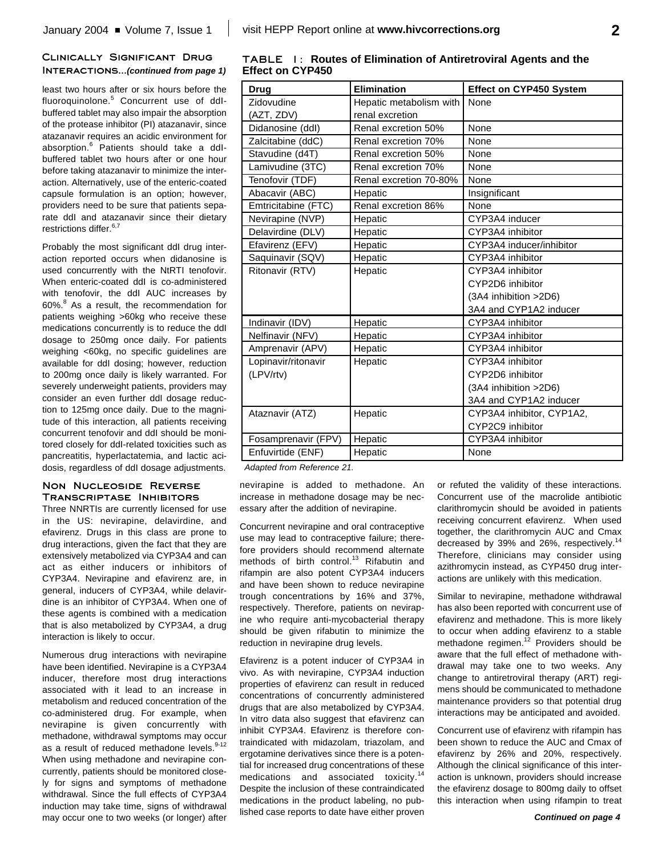**Elimination**

renal excretion

# **Clinically Significant Drug Interactions...***(continued from page 1)*

least two hours after or six hours before the fluoroquinolone. <sup>5</sup> Concurrent use of ddIbuffered tablet may also impair the absorption of the protease inhibitor (PI) atazanavir, since atazanavir requires an acidic environment fo absorption. <sup>6</sup> Patients should take a ddIbuffered tablet two hours after or one hou before taking atazanavir to minimize the inte action. Alternatively, use of the enteric-coate capsule formulation is an option; howeve providers need to be sure that patients sep rate ddl and atazanavir since their dieta restrictions differ.<sup>6,7</sup>

Probably the most significant ddl drug inte action reported occurs when didanosine used concurrently with the NtRTI tenofov When enteric-coated ddl is co-administere with tenofovir, the ddl AUC increases in 60%. <sup>8</sup> As a result, the recommendation for patients weighing >60kg who receive thes medications concurrently is to reduce the d dosage to 250mg once daily. For patien weighing <60kg, no specific guidelines a available for ddI dosing; however, reduction to 200mg once daily is likely warranted. F severely underweight patients, providers ma consider an even further ddl dosage redu tion to 125mg once daily. Due to the magr tude of this interaction, all patients receivir concurrent tenofovir and ddI should be monitored closely for ddI-related toxicities such as pancreatitis, hyperlactatemia, and lactic acidosis, regardless of ddI dosage adjustments.

## **Non Nucleoside Reverse Transcriptase Inhibitors**

Three NNRTIs are currently licensed for use in the US: nevirapine, delavirdine, and efavirenz. Drugs in this class are prone to drug interactions, given the fact that they are extensively metabolized via CYP3A4 and can act as either inducers or inhibitors of CYP3A4. Nevirapine and efavirenz are, in general, inducers of CYP3A4, while delavirdine is an inhibitor of CYP3A4. When one of these agents is combined with a medication that is also metabolized by CYP3A4, a drug interaction is likely to occur.

Numerous drug interactions with nevirapine have been identified. Nevirapine is a CYP3A4 inducer, therefore most drug interactions associated with it lead to an increase in metabolism and reduced concentration of the co-administered drug. For example, when nevirapine is given concurrently with methadone, withdrawal symptoms may occur as a result of reduced methadone levels.<sup>9-12</sup> When using methadone and nevirapine concurrently, patients should be monitored closely for signs and symptoms of methadone withdrawal. Since the full effects of CYP3A4 induction may take time, signs of withdrawal may occur one to two weeks (or longer) after

| ce.       | Didanosine (ddl)    | Renal excretion 50%    | None                      |
|-----------|---------------------|------------------------|---------------------------|
| οr<br>-Il | Zalcitabine (ddC)   | Renal excretion 70%    | None                      |
| ur        | Stavudine (d4T)     | Renal excretion 50%    | None                      |
| er-       | Lamivudine (3TC)    | Renal excretion 70%    | None                      |
| ed        | Tenofovir (TDF)     | Renal excretion 70-80% | None                      |
| эr,       | Abacavir (ABC)      | Hepatic                | Insignificant             |
| a-        | Emtricitabine (FTC) | Renal excretion 86%    | None                      |
| ıry       | Nevirapine (NVP)    | Hepatic                | CYP3A4 inducer            |
|           | Delavirdine (DLV)   | Hepatic                | CYP3A4 inhibitor          |
| -1e       | Efavirenz (EFV)     | Hepatic                | CYP3A4 inducer/inhibitor  |
| is        | Saquinavir (SQV)    | Hepatic                | CYP3A4 inhibitor          |
| ٠ir.      | Ritonavir (RTV)     | Hepatic                | CYP3A4 inhibitor          |
| эd        |                     |                        | CYP2D6 inhibitor          |
| by        |                     |                        | (3A4 inhibition >2D6)     |
| ٥r        |                     |                        | 3A4 and CYP1A2 inducer    |
| se<br>ldl | Indinavir (IDV)     | Hepatic                | CYP3A4 inhibitor          |
| ıts       | Nelfinavir (NFV)    | Hepatic                | CYP3A4 inhibitor          |
| re        | Amprenavir (APV)    | Hepatic                | CYP3A4 inhibitor          |
| on        | Lopinavir/ritonavir | Hepatic                | CYP3A4 inhibitor          |
| or.       | (LPV/rtv)           |                        | CYP2D6 inhibitor          |
| ay        |                     |                        | (3A4 inhibition >2D6)     |
| IC-       |                     |                        | 3A4 and CYP1A2 inducer    |
| ni-       | Ataznavir (ATZ)     | Hepatic                | CYP3A4 inhibitor, CYP1A2, |
| ٦g        |                     |                        | CYP2C9 inhibitor          |

**TABLE 1: Routes of Elimination of Antiretroviral Agents and the Effect on CYP450**

Hepatic metabolism with

*Adapted from Reference 21.*

Fosamprenavir (FPV) Enfuvirtide (ENF)

**Drug Zidovudine** (AZT, ZDV)

nevirapine is added to methadone. An increase in methadone dosage may be necessary after the addition of nevirapine.

Hepatic Hepatic

Concurrent nevirapine and oral contraceptive use may lead to contraceptive failure; therefore providers should recommend alternate methods of birth control.<sup>13</sup> Rifabutin and rifampin are also potent CYP3A4 inducers and have been shown to reduce nevirapine trough concentrations by 16% and 37%, respectively. Therefore, patients on nevirapine who require anti-mycobacterial therapy should be given rifabutin to minimize the reduction in nevirapine drug levels.

Efavirenz is a potent inducer of CYP3A4 in vivo. As with nevirapine, CYP3A4 induction properties of efavirenz can result in reduced concentrations of concurrently administered drugs that are also metabolized by CYP3A4. In vitro data also suggest that efavirenz can inhibit CYP3A4. Efavirenz is therefore contraindicated with midazolam, triazolam, and ergotamine derivatives since there is a potential for increased drug concentrations of these medications and associated toxicity.<sup>14</sup> Despite the inclusion of these contraindicated medications in the product labeling, no published case reports to date have either proven or refuted the validity of these interactions. Concurrent use of the macrolide antibiotic clarithromycin should be avoided in patients receiving concurrent efavirenz. When used together, the clarithromycin AUC and Cmax decreased by 39% and 26%, respectively.<sup>14</sup> Therefore, clinicians may consider using azithromycin instead, as CYP450 drug interactions are unlikely with this medication.

CYP3A4 inhibitor

None

**Effect on CYP450 System**

None

Similar to nevirapine, methadone withdrawal has also been reported with concurrent use of efavirenz and methadone. This is more likely to occur when adding efavirenz to a stable methadone regimen.<sup>12</sup> Providers should be aware that the full effect of methadone withdrawal may take one to two weeks. Any change to antiretroviral therapy (ART) regimens should be communicated to methadone maintenance providers so that potential drug interactions may be anticipated and avoided.

Concurrent use of efavirenz with rifampin has been shown to reduce the AUC and Cmax of efavirenz by 26% and 20%, respectively. Although the clinical significance of this interaction is unknown, providers should increase the efavirenz dosage to 800mg daily to offset this interaction when using rifampin to treat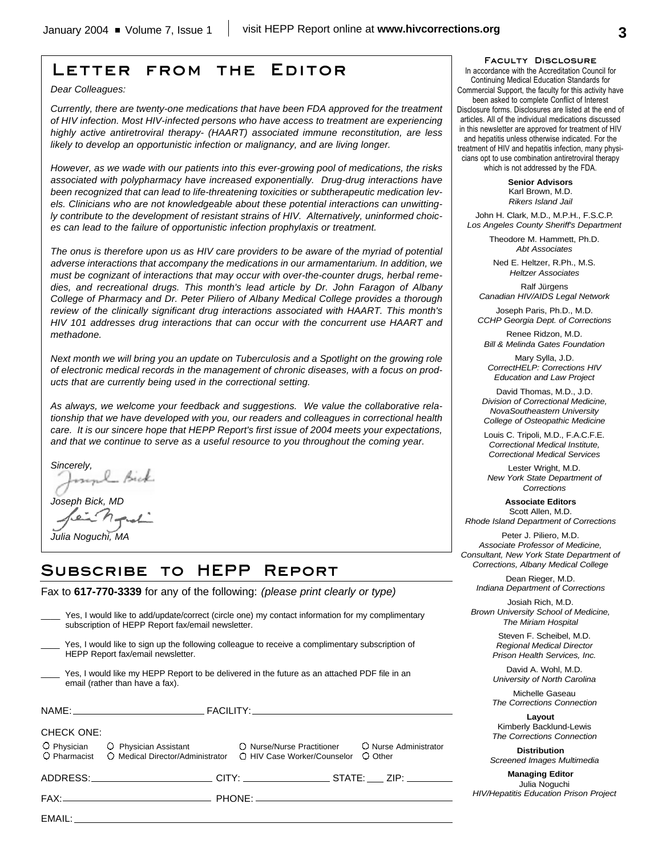# **Letter from the Editor**

*Dear Colleagues:*

*Currently, there are twenty-one medications that have been FDA approved for the treatment of HIV infection. Most HIV-infected persons who have access to treatment are experiencing highly active antiretroviral therapy- (HAART) associated immune reconstitution, are less likely to develop an opportunistic infection or malignancy, and are living longer.*

*However, as we wade with our patients into this ever-growing pool of medications, the risks associated with polypharmacy have increased exponentially. Drug-drug interactions have been recognized that can lead to life-threatening toxicities or subtherapeutic medication levels. Clinicians who are not knowledgeable about these potential interactions can unwittingly contribute to the development of resistant strains of HIV. Alternatively, uninformed choices can lead to the failure of opportunistic infection prophylaxis or treatment.* 

*The onus is therefore upon us as HIV care providers to be aware of the myriad of potential adverse interactions that accompany the medications in our armamentarium. In addition, we must be cognizant of interactions that may occur with over-the-counter drugs, herbal remedies, and recreational drugs. This month's lead article by Dr. John Faragon of Albany College of Pharmacy and Dr. Peter Piliero of Albany Medical College provides a thorough review of the clinically significant drug interactions associated with HAART. This month's HIV 101 addresses drug interactions that can occur with the concurrent use HAART and methadone.*

*Next month we will bring you an update on Tuberculosis and a Spotlight on the growing role of electronic medical records in the management of chronic diseases, with a focus on products that are currently being used in the correctional setting.*

*As always, we welcome your feedback and suggestions. We value the collaborative relationship that we have developed with you, our readers and colleagues in correctional health care. It is our sincere hope that HEPP Report's first issue of 2004 meets your expectations, and that we continue to serve as a useful resource to you throughout the coming year.* 

*Sincerely,*

*Joseph Bick, MD*

*Julia Noguchi, MA*

# **Subscribe to HEPP Report**

Fax to **617-770-3339** for any of the following: *(please print clearly or type)*

|                   | Yes, I would like to add/update/correct (circle one) my contact information for my complimentary<br>subscription of HEPP Report fax/email newsletter.           |  |         |
|-------------------|-----------------------------------------------------------------------------------------------------------------------------------------------------------------|--|---------|
|                   | Yes, I would like to sign up the following colleague to receive a complimentary subscription of<br>HEPP Report fax/email newsletter.                            |  |         |
|                   | Yes, I would like my HEPP Report to be delivered in the future as an attached PDF file in an<br>email (rather than have a fax).                                 |  |         |
|                   |                                                                                                                                                                 |  |         |
| <b>CHECK ONE:</b> | O Physician C Physician Assistant C Nurse/Nurse Practitioner C Nurse Administrator<br>O Pharmacist O Medical Director/Administrator O HIV Case Worker/Counselor |  | O Other |
|                   | ADDRESS:____________________________CITY: _____________________STATE: _____ ZIP: _______                                                                        |  |         |
|                   |                                                                                                                                                                 |  |         |
|                   |                                                                                                                                                                 |  |         |

### **Faculty Disclosure**

In accordance with the Accreditation Council for Continuing Medical Education Standards for Commercial Support, the faculty for this activity have been asked to complete Conflict of Interest Disclosure forms. Disclosures are listed at the end of articles. All of the individual medications discussed in this newsletter are approved for treatment of HIV and hepatitis unless otherwise indicated. For the treatment of HIV and hepatitis infection, many physicians opt to use combination antiretroviral therapy which is not addressed by the FDA.

> **Senior Advisors** Karl Brown, M.D. *Rikers Island Jail*

John H. Clark, M.D., M.P.H., F.S.C.P. *Los Angeles County Sheriff's Department*

> Theodore M. Hammett, Ph.D. *Abt Associates*

Ned E. Heltzer, R.Ph., M.S. *Heltzer Associates*

Ralf Jürgens *Canadian HIV/AIDS Legal Network*

Joseph Paris, Ph.D., M.D. *CCHP Georgia Dept. of Corrections*

Renee Ridzon, M.D. *Bill & Melinda Gates Foundation*

Mary Sylla, J.D. *CorrectHELP: Corrections HIV Education and Law Project*

David Thomas, M.D., J.D. *Division of Correctional Medicine, NovaSoutheastern University College of Osteopathic Medicine*

Louis C. Tripoli, M.D., F.A.C.F.E. *Correctional Medical Institute, Correctional Medical Services*

Lester Wright, M.D. *New York State Department of Corrections*

**Associate Editors** Scott Allen, M.D. *Rhode Island Department of Corrections*

Peter J. Piliero, M.D. *Associate Professor of Medicine, Consultant, New York State Department of Corrections, Albany Medical College*

Dean Rieger, M.D. *Indiana Department of Corrections*

Josiah Rich, M.D. *Brown University School of Medicine, The Miriam Hospital*

> Steven F. Scheibel, M.D. *Regional Medical Director Prison Health Services, Inc.*

> David A. Wohl, M.D. *University of North Carolina*

> Michelle Gaseau *The Corrections Connection*

> **Layout** Kimberly Backlund-Lewis *The Corrections Connection*

**Distribution** *Screened Images Multimedia*

**Managing Editor** Julia Noguchi *HIV/Hepatitis Education Prison Project*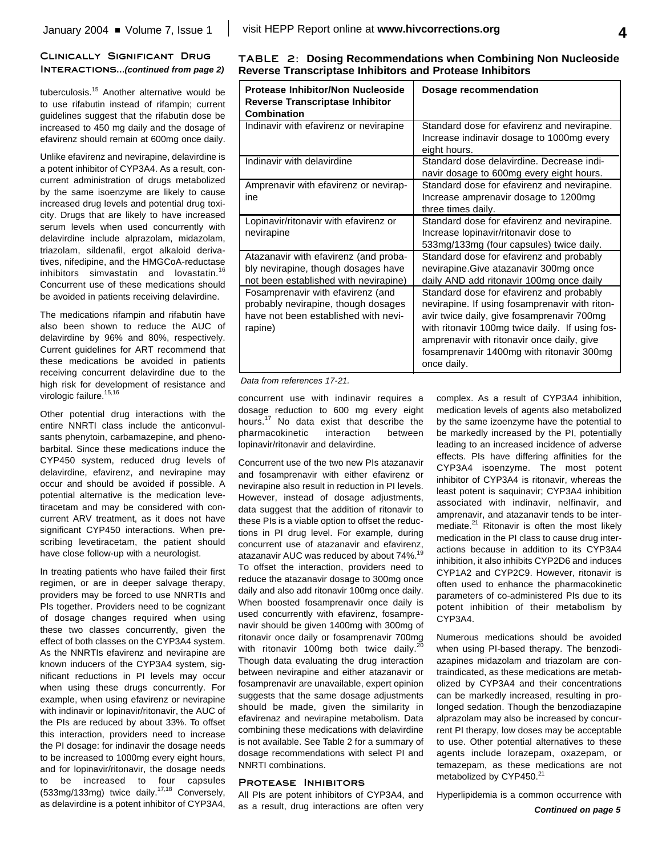## **Clinically Significant Drug Interactions...***(continued from page 2)*

tuberculosis. <sup>15</sup> Another alternative would be to use rifabutin instead of rifampin; current guidelines suggest that the rifabutin dose be increased to 450 mg daily and the dosage of efavirenz should remain at 600mg once daily.

Unlike efavirenz and nevirapine, delavirdine is a potent inhibitor of CYP3A4. As a result, concurrent administration of drugs metabolized by the same isoenzyme are likely to cause increased drug levels and potential drug toxicity. Drugs that are likely to have increased serum levels when used concurrently with delavirdine include alprazolam, midazolam, triazolam, sildenafil, ergot alkaloid derivatives, nifedipine, and the HMGCoA-reductase inhibitors simvastatin and lovastatin. 16 Concurrent use of these medications should be avoided in patients receiving delavirdine.

The medications rifampin and rifabutin have also been shown to reduce the AUC of delavirdine by 96% and 80%, respectively. Current guidelines for ART recommend that these medications be avoided in patients receiving concurrent delavirdine due to the high risk for development of resistance and virologic failure. 15,16

Other potential drug interactions with the entire NNRTI class include the anticonvulsants phenytoin, carbamazepine, and phenobarbital. Since these medications induce the CYP450 system, reduced drug levels of delavirdine, efavirenz, and nevirapine may occur and should be avoided if possible. A potential alternative is the medication levetiracetam and may be considered with concurrent ARV treatment, as it does not have significant CYP450 interactions. When prescribing levetiracetam, the patient should have close follow-up with a neurologist.

In treating patients who have failed their first regimen, or are in deeper salvage therapy, providers may be forced to use NNRTIs and PIs together. Providers need to be cognizant of dosage changes required when using these two classes concurrently, given the effect of both classes on the CYP3A4 system. As the NNRTIs efavirenz and nevirapine are known inducers of the CYP3A4 system, significant reductions in PI levels may occur when using these drugs concurrently. For example, when using efavirenz or nevirapine with indinavir or lopinavir/ritonavir, the AUC of the PIs are reduced by about 33%. To offset this interaction, providers need to increase the PI dosage: for indinavir the dosage needs to be increased to 1000mg every eight hours, and for lopinavir/ritonavir, the dosage needs to be increased to four capsules (533mg/133mg) twice daily.<sup>17,18</sup> Conversely, as delavirdine is a potent inhibitor of CYP3A4,

|  | TABLE 2: Dosing Recommendations when Combining Non Nucleoside   |
|--|-----------------------------------------------------------------|
|  | <b>Reverse Transcriptase Inhibitors and Protease Inhibitors</b> |

| Protease Inhibitor/Non Nucleoside<br><b>Reverse Transcriptase Inhibitor</b><br><b>Combination</b>                           | Dosage recommendation                                                                                                                                                                                                                                                                                 |
|-----------------------------------------------------------------------------------------------------------------------------|-------------------------------------------------------------------------------------------------------------------------------------------------------------------------------------------------------------------------------------------------------------------------------------------------------|
| Indinavir with efavirenz or nevirapine                                                                                      | Standard dose for efavirenz and nevirapine.<br>Increase indinavir dosage to 1000mg every<br>eight hours.                                                                                                                                                                                              |
| Indinavir with delavirdine                                                                                                  | Standard dose delavirdine. Decrease indi-<br>navir dosage to 600mg every eight hours.                                                                                                                                                                                                                 |
| Amprenavir with efavirenz or nevirap-<br>ine                                                                                | Standard dose for efavirenz and nevirapine.<br>Increase amprenavir dosage to 1200mg<br>three times daily.                                                                                                                                                                                             |
| Lopinavir/ritonavir with efavirenz or<br>nevirapine                                                                         | Standard dose for efavirenz and nevirapine.<br>Increase lopinavir/ritonavir dose to<br>533mg/133mg (four capsules) twice daily.                                                                                                                                                                       |
| Atazanavir with efavirenz (and proba-<br>bly nevirapine, though dosages have<br>not been established with nevirapine)       | Standard dose for efavirenz and probably<br>nevirapine. Give atazanavir 300mg once<br>daily AND add ritonavir 100mg once daily                                                                                                                                                                        |
| Fosamprenavir with efavirenz (and<br>probably nevirapine, though dosages<br>have not been established with nevi-<br>rapine) | Standard dose for efavirenz and probably<br>nevirapine. If using fosamprenavir with riton-<br>avir twice daily, give fosamprenavir 700mg<br>with ritonavir 100mg twice daily. If using fos-<br>amprenavir with ritonavir once daily, give<br>fosamprenavir 1400mg with ritonavir 300mg<br>once daily. |

## *Data from references 17-21.*

concurrent use with indinavir requires a dosage reduction to 600 mg every eight hours. <sup>17</sup> No data exist that describe the pharmacokinetic interaction between lopinavir/ritonavir and delavirdine.

Concurrent use of the two new PIs atazanavir and fosamprenavir with either efavirenz or nevirapine also result in reduction in PI levels. However, instead of dosage adjustments, data suggest that the addition of ritonavir to these PIs is a viable option to offset the reductions in PI drug level. For example, during concurrent use of atazanavir and efavirenz, atazanavir AUC was reduced by about 74%.<sup>19</sup> To offset the interaction, providers need to reduce the atazanavir dosage to 300mg once daily and also add ritonavir 100mg once daily. When boosted fosamprenavir once daily is used concurrently with efavirenz, fosamprenavir should be given 1400mg with 300mg of ritonavir once daily or fosamprenavir 700mg with ritonavir 100mg both twice daily.<sup>20</sup> Though data evaluating the drug interaction between nevirapine and either atazanavir or fosamprenavir are unavailable, expert opinion suggests that the same dosage adjustments should be made, given the similarity in efavirenaz and nevirapine metabolism. Data combining these medications with delavirdine is not available. See Table 2 for a summary of dosage recommendations with select PI and NNRTI combinations.

### **Protease Inhibitors**

All PIs are potent inhibitors of CYP3A4, and as a result, drug interactions are often very

complex. As a result of CYP3A4 inhibition, medication levels of agents also metabolized by the same izoenzyme have the potential to be markedly increased by the PI, potentially leading to an increased incidence of adverse effects. PIs have differing affinities for the CYP3A4 isoenzyme. The most potent inhibitor of CYP3A4 is ritonavir, whereas the least potent is saquinavir; CYP3A4 inhibition associated with indinavir, nelfinavir, and amprenavir, and atazanavir tends to be intermediate.<sup>21</sup> Ritonavir is often the most likely medication in the PI class to cause drug interactions because in addition to its CYP3A4 inhibition, it also inhibits CYP2D6 and induces CYP1A2 and CYP2C9. However, ritonavir is often used to enhance the pharmacokinetic parameters of co-administered PIs due to its potent inhibition of their metabolism by CYP3A4.

Numerous medications should be avoided when using PI-based therapy. The benzodiazapines midazolam and triazolam are contraindicated, as these medications are metabolized by CYP3A4 and their concentrations can be markedly increased, resulting in prolonged sedation. Though the benzodiazapine alprazolam may also be increased by concurrent PI therapy, low doses may be acceptable to use. Other potential alternatives to these agents include lorazepam, oxazepam, or temazepam, as these medications are not metabolized by CYP450.<sup>21</sup>

Hyperlipidemia is a common occurrence with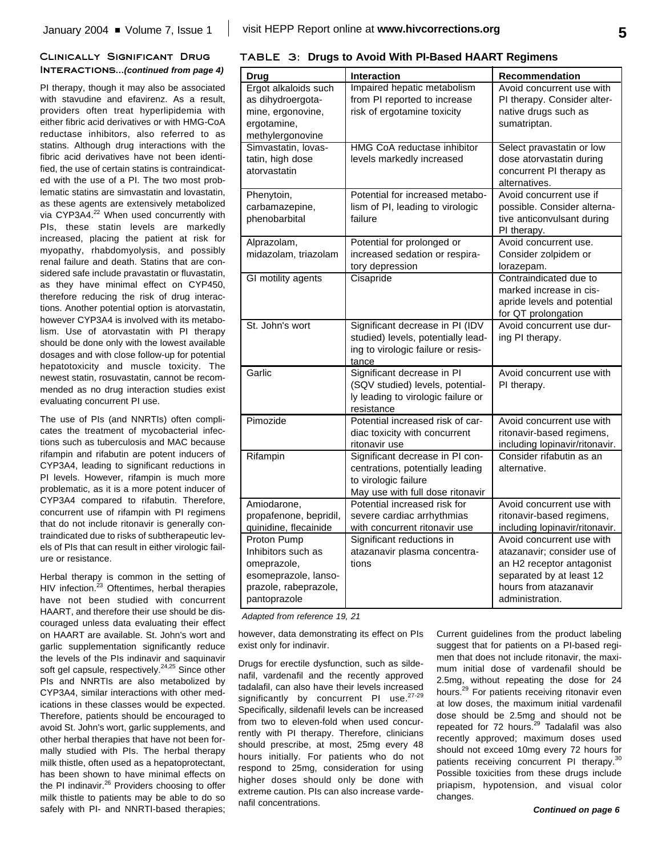## **Clinically Significant Drug Interactions...***(continued from page 4)*

PI therapy, though it may also be associated with stavudine and efavirenz. As a result, providers often treat hyperlipidemia with either fibric acid derivatives or with HMG-CoA reductase inhibitors, also referred to as statins. Although drug interactions with the fibric acid derivatives have not been identified, the use of certain statins is contraindicated with the use of a PI. The two most problematic statins are simvastatin and lovastatin, as these agents are extensively metabolized via CYP3A4.<sup>22</sup> When used concurrently with PIs, these statin levels are markedly increased, placing the patient at risk for myopathy, rhabdomyolysis, and possibly renal failure and death. Statins that are considered safe include pravastatin or fluvastatin, as they have minimal effect on CYP450, therefore reducing the risk of drug interactions. Another potential option is atorvastatin, however CYP3A4 is involved with its metabolism. Use of atorvastatin with PI therapy should be done only with the lowest available dosages and with close follow-up for potential hepatotoxicity and muscle toxicity. The newest statin, rosuvastatin, cannot be recommended as no drug interaction studies exist evaluating concurrent PI use.

The use of PIs (and NNRTIs) often complicates the treatment of mycobacterial infections such as tuberculosis and MAC because rifampin and rifabutin are potent inducers of CYP3A4, leading to significant reductions in PI levels. However, rifampin is much more problematic, as it is a more potent inducer of CYP3A4 compared to rifabutin. Therefore, concurrent use of rifampin with PI regimens that do not include ritonavir is generally contraindicated due to risks of subtherapeutic levels of PIs that can result in either virologic failure or resistance.

Herbal therapy is common in the setting of HIV infection.<sup>23</sup> Oftentimes, herbal therapies have not been studied with concurrent HAART, and therefore their use should be discouraged unless data evaluating their effect on HAART are available. St. John's wort and garlic supplementation significantly reduce the levels of the PIs indinavir and saquinavir soft gel capsule, respectively.<sup>24,25</sup> Since other PIs and NNRTIs are also metabolized by CYP3A4, similar interactions with other medications in these classes would be expected. Therefore, patients should be encouraged to avoid St. John's wort, garlic supplements, and other herbal therapies that have not been formally studied with PIs. The herbal therapy milk thistle, often used as a hepatoprotectant, has been shown to have minimal effects on the PI indinavir.<sup>26</sup> Providers choosing to offer milk thistle to patients may be able to do so safely with PI- and NNRTI-based therapies;

|  |  |  |  | TABLE 3: Drugs to Avoid With PI-Based HAART Regimens |  |  |
|--|--|--|--|------------------------------------------------------|--|--|
|--|--|--|--|------------------------------------------------------|--|--|

| <b>Drug</b>                                                                                                       | Interaction                                                                                                                     | <b>Recommendation</b>                                                                                                                                         |
|-------------------------------------------------------------------------------------------------------------------|---------------------------------------------------------------------------------------------------------------------------------|---------------------------------------------------------------------------------------------------------------------------------------------------------------|
| Ergot alkaloids such<br>as dihydroergota-<br>mine, ergonovine,<br>ergotamine,<br>methylergonovine                 | Impaired hepatic metabolism<br>from PI reported to increase<br>risk of ergotamine toxicity                                      | Avoid concurrent use with<br>PI therapy. Consider alter-<br>native drugs such as<br>sumatriptan.                                                              |
| Simvastatin, lovas-<br>tatin, high dose<br>atorvastatin                                                           | <b>HMG CoA reductase inhibitor</b><br>levels markedly increased                                                                 | Select pravastatin or low<br>dose atorvastatin during<br>concurrent PI therapy as<br>alternatives.                                                            |
| Phenytoin,<br>carbamazepine,<br>phenobarbital                                                                     | Potential for increased metabo-<br>lism of PI, leading to virologic<br>failure                                                  | Avoid concurrent use if<br>possible. Consider alterna-<br>tive anticonvulsant during<br>PI therapy.                                                           |
| Alprazolam,<br>midazolam, triazolam                                                                               | Potential for prolonged or<br>increased sedation or respira-<br>tory depression                                                 | Avoid concurrent use.<br>Consider zolpidem or<br>lorazepam.                                                                                                   |
| GI motility agents                                                                                                | Cisapride                                                                                                                       | Contraindicated due to<br>marked increase in cis-<br>apride levels and potential<br>for QT prolongation                                                       |
| St. John's wort                                                                                                   | Significant decrease in PI (IDV<br>studied) levels, potentially lead-<br>ing to virologic failure or resis-<br>tance            | Avoid concurrent use dur-<br>ing PI therapy.                                                                                                                  |
| Garlic                                                                                                            | Significant decrease in PI<br>(SQV studied) levels, potential-<br>ly leading to virologic failure or<br>resistance              | Avoid concurrent use with<br>PI therapy.                                                                                                                      |
| Pimozide                                                                                                          | Potential increased risk of car-<br>diac toxicity with concurrent<br>ritonavir use                                              | Avoid concurrent use with<br>ritonavir-based regimens,<br>including lopinavir/ritonavir.                                                                      |
| Rifampin                                                                                                          | Significant decrease in PI con-<br>centrations, potentially leading<br>to virologic failure<br>May use with full dose ritonavir | Consider rifabutin as an<br>alternative.                                                                                                                      |
| Amiodarone,<br>propafenone, bepridil,<br>quinidine, flecainide                                                    | Potential increased risk for<br>severe cardiac arrhythmias<br>with concurrent ritonavir use                                     | Avoid concurrent use with<br>ritonavir-based regimens,<br>including lopinavir/ritonavir.                                                                      |
| Proton Pump<br>Inhibitors such as<br>omeprazole,<br>esomeprazole, lanso-<br>prazole, rabeprazole,<br>pantoprazole | Significant reductions in<br>atazanavir plasma concentra-<br>tions                                                              | Avoid concurrent use with<br>atazanavir; consider use of<br>an H2 receptor antagonist<br>separated by at least 12<br>hours from atazanavir<br>administration. |

*Adapted from reference 19, 21*

however, data demonstrating its effect on PIs exist only for indinavir.

Drugs for erectile dysfunction, such as sildenafil, vardenafil and the recently approved tadalafil, can also have their levels increased significantly by concurrent PI use.<sup>27-29</sup> Specifically, sildenafil levels can be increased from two to eleven-fold when used concurrently with PI therapy. Therefore, clinicians should prescribe, at most, 25mg every 48 hours initially. For patients who do not respond to 25mg, consideration for using higher doses should only be done with extreme caution. PIs can also increase vardenafil concentrations.

Current guidelines from the product labeling suggest that for patients on a PI-based regimen that does not include ritonavir, the maximum initial dose of vardenafil should be 2.5mg, without repeating the dose for 24 hours.<sup>29</sup> For patients receiving ritonavir even at low doses, the maximum initial vardenafil dose should be 2.5mg and should not be repeated for 72 hours.<sup>29</sup> Tadalafil was also recently approved; maximum doses used should not exceed 10mg every 72 hours for patients receiving concurrent PI therapy.<sup>30</sup> Possible toxicities from these drugs include priapism, hypotension, and visual color changes.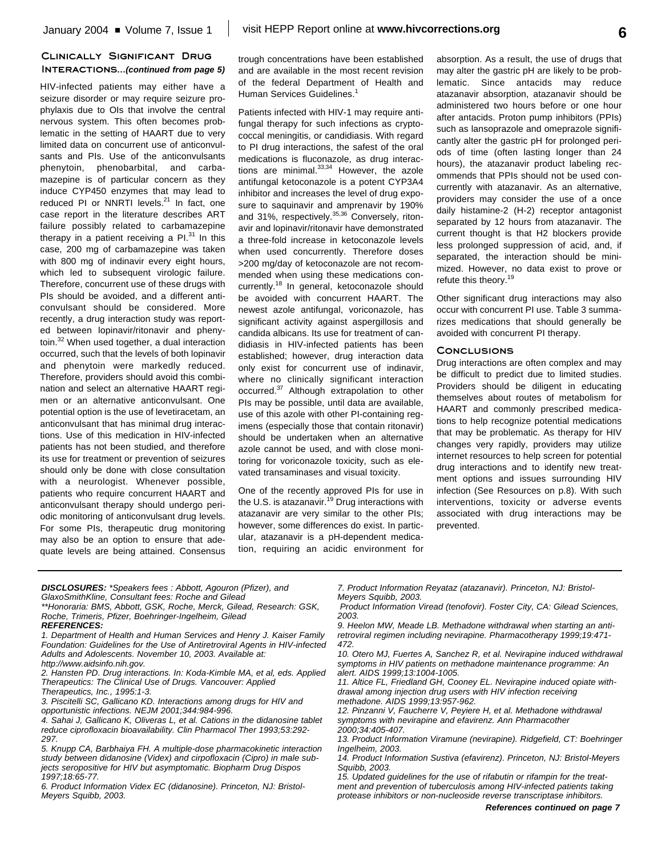## **Clinically Significant Drug Interactions...***(continued from page 5)*

HIV-infected patients may either have a seizure disorder or may require seizure prophylaxis due to OIs that involve the central nervous system. This often becomes problematic in the setting of HAART due to very limited data on concurrent use of anticonvulsants and PIs. Use of the anticonvulsants phenytoin, phenobarbital, and carbamazepine is of particular concern as they induce CYP450 enzymes that may lead to reduced PI or NNRTI levels.<sup>21</sup> In fact, one case report in the literature describes ART failure possibly related to carbamazepine therapy in a patient receiving a Pl.<sup>31</sup> In this case, 200 mg of carbamazepine was taken with 800 mg of indinavir every eight hours, which led to subsequent virologic failure. Therefore, concurrent use of these drugs with PIs should be avoided, and a different anticonvulsant should be considered. More recently, a drug interaction study was reported between lopinavir/ritonavir and phenytoin.<sup>32</sup> When used together, a dual interaction occurred, such that the levels of both lopinavir and phenytoin were markedly reduced. Therefore, providers should avoid this combination and select an alternative HAART regimen or an alternative anticonvulsant. One potential option is the use of levetiracetam, an anticonvulsant that has minimal drug interactions. Use of this medication in HIV-infected patients has not been studied, and therefore its use for treatment or prevention of seizures should only be done with close consultation with a neurologist. Whenever possible, patients who require concurrent HAART and anticonvulsant therapy should undergo periodic monitoring of anticonvulsant drug levels. For some PIs, therapeutic drug monitoring may also be an option to ensure that adequate levels are being attained. Consensus trough concentrations have been established and are available in the most recent revision of the federal Department of Health and Human Services Guidelines.<sup>1</sup>

Patients infected with HIV-1 may require antifungal therapy for such infections as cryptococcal meningitis, or candidiasis. With regard to PI drug interactions, the safest of the oral medications is fluconazole, as drug interactions are minimal.<sup>33,34</sup> However, the azole antifungal ketoconazole is a potent CYP3A4 inhibitor and increases the level of drug exposure to saquinavir and amprenavir by 190% and 31%, respectively.<sup>35,36</sup> Conversely, ritonavir and lopinavir/ritonavir have demonstrated a three-fold increase in ketoconazole levels when used concurrently. Therefore doses >200 mg/day of ketoconazole are not recommended when using these medications concurrently.<sup>18</sup> In general, ketoconazole should be avoided with concurrent HAART. The newest azole antifungal, voriconazole, has significant activity against aspergillosis and candida albicans. Its use for treatment of candidiasis in HIV-infected patients has been established; however, drug interaction data only exist for concurrent use of indinavir, where no clinically significant interaction occurred.<sup>37</sup> Although extrapolation to other PIs may be possible, until data are available, use of this azole with other PI-containing regimens (especially those that contain ritonavir) should be undertaken when an alternative azole cannot be used, and with close monitoring for voriconazole toxicity, such as elevated transaminases and visual toxicity.

One of the recently approved PIs for use in the U.S. is atazanavir.<sup>19</sup> Drug interactions with atazanavir are very similar to the other PIs; however, some differences do exist. In particular, atazanavir is a pH-dependent medication, requiring an acidic environment for absorption. As a result, the use of drugs that may alter the gastric pH are likely to be problematic. Since antacids may reduce atazanavir absorption, atazanavir should be administered two hours before or one hour after antacids. Proton pump inhibitors (PPIs) such as lansoprazole and omeprazole significantly alter the gastric pH for prolonged periods of time (often lasting longer than 24 hours), the atazanavir product labeling recommends that PPIs should not be used concurrently with atazanavir. As an alternative, providers may consider the use of a once daily histamine-2 (H-2) receptor antagonist separated by 12 hours from atazanavir. The current thought is that H2 blockers provide less prolonged suppression of acid, and, if separated, the interaction should be minimized. However, no data exist to prove or refute this theory.<sup>19</sup>

Other significant drug interactions may also occur with concurrent PI use. Table 3 summarizes medications that should generally be avoided with concurrent PI therapy.

### **Conclusions**

Drug interactions are often complex and may be difficult to predict due to limited studies. Providers should be diligent in educating themselves about routes of metabolism for HAART and commonly prescribed medications to help recognize potential medications that may be problematic. As therapy for HIV changes very rapidly, providers may utilize internet resources to help screen for potential drug interactions and to identify new treatment options and issues surrounding HIV infection (See Resources on p.8). With such interventions, toxicity or adverse events associated with drug interactions may be prevented.

*DISCLOSURES: \*Speakers fees : Abbott, Agouron (Pfizer), and GlaxoSmithKline, Consultant fees: Roche and Gilead*

- *\*\*Honoraria: BMS, Abbott, GSK, Roche, Merck, Gilead, Research: GSK, Roche, Trimeris, Pfizer, Boehringer-Ingelheim, Gilead REFERENCES:*
- *1. Department of Health and Human Services and Henry J. Kaiser Family Foundation: Guidelines for the Use of Antiretroviral Agents in HIV-infected*
- *Adults and Adolescents. November 10, 2003. Available at: http://www.aidsinfo.nih.gov.*
- *2. Hansten PD. Drug interactions. In: Koda-Kimble MA, et al, eds. Applied Therapeutics: The Clinical Use of Drugs. Vancouver: Applied Therapeutics, Inc., 1995:1-3.*
- *3. Piscitelli SC, Gallicano KD. Interactions among drugs for HIV and*
- *opportunistic infections. NEJM 2001;344:984-996.*
- *4. Sahai J, Gallicano K, Oliveras L, et al. Cations in the didanosine tablet reduce ciprofloxacin bioavailability. Clin Pharmacol Ther 1993;53:292- 297.*
- *5. Knupp CA, Barbhaiya FH. A multiple-dose pharmacokinetic interaction study between didanosine (Videx) and cirpofloxacin (Cipro) in male subjects seropositive for HIV but asymptomatic. Biopharm Drug Dispos 1997;18:65-77.*
- *6. Product Information Videx EC (didanosine). Princeton, NJ: Bristol-Meyers Squibb, 2003.*

*7. Product Information Reyataz (atazanavir). Princeton, NJ: Bristol-Meyers Squibb, 2003.*

*Product Information Viread (tenofovir). Foster City, CA: Gilead Sciences, 2003.*

*9. Heelon MW, Meade LB. Methadone withdrawal when starting an antiretroviral regimen including nevirapine. Pharmacotherapy 1999;19:471- 472.*

*10. Otero MJ, Fuertes A, Sanchez R, et al. Nevirapine induced withdrawal symptoms in HIV patients on methadone maintenance programme: An alert. AIDS 1999;13:1004-1005.*

*11. Altice FL, Friedland GH, Cooney EL. Nevirapine induced opiate withdrawal among injection drug users with HIV infection receiving methadone. AIDS 1999;13:957-962.*

*12. Pinzanni V, Faucherre V, Peyiere H, et al. Methadone withdrawal symptoms with nevirapine and efavirenz. Ann Pharmacother 2000;34:405-407.*

*13. Product Information Viramune (nevirapine). Ridgefield, CT: Boehringer Ingelheim, 2003.*

*14. Product Information Sustiva (efavirenz). Princeton, NJ: Bristol-Meyers Squibb, 2003.*

*15. Updated guidelines for the use of rifabutin or rifampin for the treatment and prevention of tuberculosis among HIV-infected patients taking protease inhibitors or non-nucleoside reverse transcriptase inhibitors.*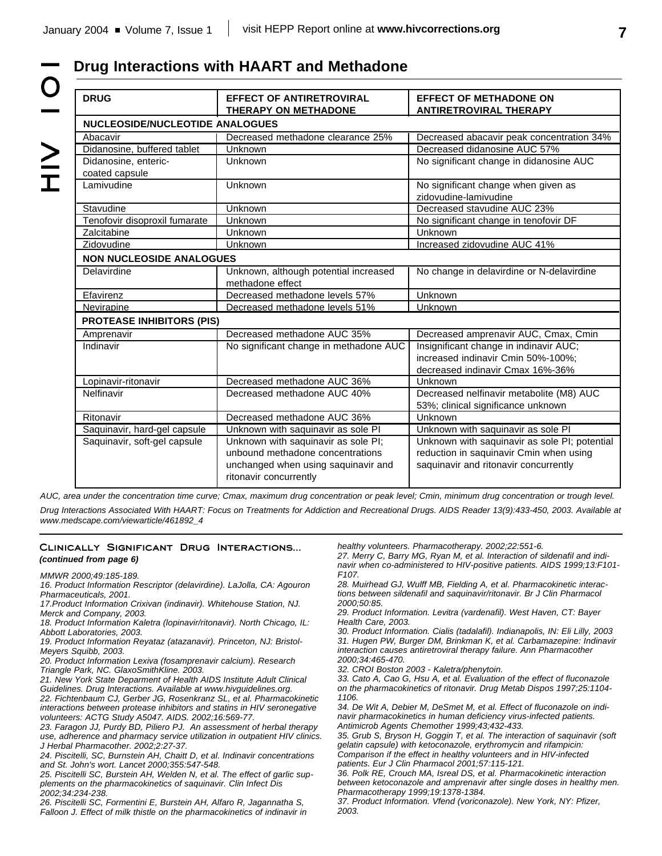$\geq$ 

# **Drug Interactions with HAART and Methadone**  $\overline{O}$

| <b>DRUG</b>                            | <b>EFFECT OF ANTIRETROVIRAL</b><br><b>THERAPY ON METHADONE</b> | <b>EFFECT OF METHADONE ON</b><br><b>ANTIRETROVIRAL THERAPY</b> |  |
|----------------------------------------|----------------------------------------------------------------|----------------------------------------------------------------|--|
| <b>NUCLEOSIDE/NUCLEOTIDE ANALOGUES</b> |                                                                |                                                                |  |
| Abacavir                               | Decreased methadone clearance 25%                              | Decreased abacavir peak concentration 34%                      |  |
| Didanosine, buffered tablet            | Unknown                                                        | Decreased didanosine AUC 57%                                   |  |
| Didanosine, enteric-                   | Unknown                                                        | No significant change in didanosine AUC                        |  |
| coated capsule                         |                                                                |                                                                |  |
| Lamivudine                             | Unknown                                                        | No significant change when given as                            |  |
|                                        |                                                                | zidovudine-lamivudine                                          |  |
| Stavudine                              | Unknown                                                        | Decreased stavudine AUC 23%                                    |  |
| Tenofovir disoproxil fumarate          | Unknown                                                        | No significant change in tenofovir DF                          |  |
| Zalcitabine                            | Unknown                                                        | Unknown                                                        |  |
| Zidovudine                             | Unknown                                                        | Increased zidovudine AUC 41%                                   |  |
| <b>NON NUCLEOSIDE ANALOGUES</b>        |                                                                |                                                                |  |
| Delavirdine                            | Unknown, although potential increased                          | No change in delavirdine or N-delavirdine                      |  |
|                                        | methadone effect                                               |                                                                |  |
| Efavirenz                              | Decreased methadone levels 57%                                 | Unknown                                                        |  |
| Nevirapine                             | Decreased methadone levels 51%                                 | <b>Unknown</b>                                                 |  |
| <b>PROTEASE INHIBITORS (PIS)</b>       |                                                                |                                                                |  |
| Amprenavir                             | Decreased methadone AUC 35%                                    | Decreased amprenavir AUC, Cmax, Cmin                           |  |
| Indinavir                              | No significant change in methadone AUC                         | Insignificant change in indinavir AUC;                         |  |
|                                        |                                                                | increased indinavir Cmin 50%-100%;                             |  |
|                                        |                                                                | decreased indinavir Cmax 16%-36%                               |  |
| Lopinavir-ritonavir                    | Decreased methadone AUC 36%                                    | Unknown                                                        |  |
| Nelfinavir                             | Decreased methadone AUC 40%                                    | Decreased nelfinavir metabolite (M8) AUC                       |  |
|                                        |                                                                | 53%; clinical significance unknown                             |  |
| Ritonavir                              | Decreased methadone AUC 36%                                    | Unknown                                                        |  |
| Saquinavir, hard-gel capsule           | Unknown with saquinavir as sole PI                             | Unknown with saquinavir as sole PI                             |  |
| Saquinavir, soft-gel capsule           | Unknown with saquinavir as sole PI;                            | Unknown with saquinavir as sole PI; potential                  |  |
|                                        | unbound methadone concentrations                               | reduction in saquinavir Cmin when using                        |  |
|                                        | unchanged when using saquinavir and                            | saquinavir and ritonavir concurrently                          |  |
|                                        | ritonavir concurrently                                         |                                                                |  |

*AUC, area under the concentration time curve; Cmax, maximum drug concentration or peak level; Cmin, minimum drug concentration or trough level.*

*Drug Interactions Associated With HAART: Focus on Treatments for Addiction and Recreational Drugs. AIDS Reader 13(9):433-450, 2003. Available at www.medscape.com/viewarticle/461892\_4*

### **Clinically Significant Drug Interactions...** *(continued from page 6)*

*MMWR 2000;49:185-189.*

*16. Product Information Rescriptor (delavirdine). LaJolla, CA: Agouron Pharmaceuticals, 2001.*

*17.Product Information Crixivan (indinavir). Whitehouse Station, NJ. Merck and Company, 2003.*

*18. Product Information Kaletra (lopinavir/ritonavir). North Chicago, IL: Abbott Laboratories, 2003.*

*19. Product Information Reyataz (atazanavir). Princeton, NJ: Bristol-Meyers Squibb, 2003.*

*20. Product Information Lexiva (fosamprenavir calcium). Research Triangle Park, NC. GlaxoSmithKline. 2003.*

*21. New York State Deparment of Health AIDS Institute Adult Clinical Guidelines. Drug Interactions. Available at www.hivguidelines.org.*

*22. Fichtenbaum CJ, Gerber JG, Rosenkranz SL, et al. Pharmacokinetic interactions between protease inhibitors and statins in HIV seronegative volunteers: ACTG Study A5047. AIDS. 2002;16:569-77.*

*23. Faragon JJ, Purdy BD, Piliero PJ. An assessment of herbal therapy use, adherence and pharmacy service utilization in outpatient HIV clinics. J Herbal Pharmacother. 2002;2:27-37.*

*24. Piscitelli, SC, Burnstein AH, Chaitt D, et al. Indinavir concentrations and St. John's wort. Lancet 2000;355:547-548.*

*25. Piscitelli SC, Burstein AH, Welden N, et al. The effect of garlic supplements on the pharmacokinetics of saquinavir. Clin Infect Dis 2002;34:234-238.* 

*26. Piscitelli SC, Formentini E, Burstein AH, Alfaro R, Jagannatha S, Falloon J. Effect of milk thistle on the pharmacokinetics of indinavir in* *healthy volunteers. Pharmacotherapy. 2002;22:551-6.*

*27. Merry C, Barry MG, Ryan M, et al. Interaction of sildenafil and indinavir when co-administered to HIV-positive patients. AIDS 1999;13:F101- F107.*

*28. Muirhead GJ, Wulff MB, Fielding A, et al. Pharmacokinetic interactions between sildenafil and saquinavir/ritonavir. Br J Clin Pharmacol 2000;50:85.*

*29. Product Information. Levitra (vardenafil). West Haven, CT: Bayer Health Care, 2003.*

*30. Product Information. Cialis (tadalafil). Indianapolis, IN: Eli Lilly, 2003 31. Hugen PW, Burger DM, Brinkman K, et al. Carbamazepine: Indinavir interaction causes antiretroviral therapy failure. Ann Pharmacother 2000;34:465-470.*

*32. CROI Boston 2003 - Kaletra/phenytoin.*

*33. Cato A, Cao G, Hsu A, et al. Evaluation of the effect of fluconazole on the pharmacokinetics of ritonavir. Drug Metab Dispos 1997;25:1104- 1106.*

*34. De Wit A, Debier M, DeSmet M, et al. Effect of fluconazole on indinavir pharmacokinetics in human deficiency virus-infected patients. Antimicrob Agents Chemother 1999;43;432-433.*

*35. Grub S, Bryson H, Goggin T, et al. The interaction of saquinavir (soft gelatin capsule) with ketoconazole, erythromycin and rifampicin: Comparison if the effect in healthy volunteers and in HIV-infected patients. Eur J Clin Pharmacol 2001;57:115-121.*

*36. Polk RE, Crouch MA, Isreal DS, et al. Pharmacokinetic interaction between ketoconazole and amprenavir after single doses in healthy men. Pharmacotherapy 1999;19:1378-1384.*

*37. Product Information. Vfend (voriconazole). New York, NY: Pfizer, 2003.*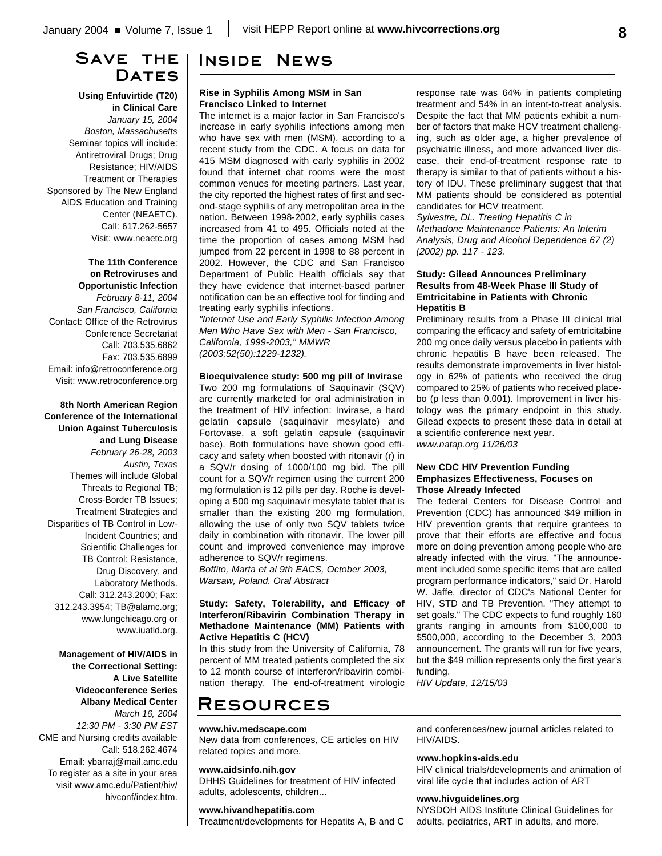# **Save the** DATES

**Using Enfuvirtide (T20) in Clinical Care** *January 15, 2004 Boston, Massachusetts* Seminar topics will include: Antiretroviral Drugs; Drug Resistance; HIV/AIDS Treatment or Therapies Sponsored by The New England AIDS Education and Training Center (NEAETC). Call: 617.262-5657 Visit: www.neaetc.org

**The 11th Conference on Retroviruses and Opportunistic Infection** *February 8-11, 2004 San Francisco, California* Contact: Office of the Retrovirus Conference Secretariat Call: 703.535.6862 Fax: 703.535.6899 Email: info@retroconference.org Visit: www.retroconference.org

**8th North American Region Conference of the International Union Against Tuberculosis and Lung Disease** *February 26-28, 2003 Austin, Texas* Themes will include Global Threats to Regional TB; Cross-Border TB Issues; Treatment Strategies and Disparities of TB Control in Low-Incident Countries; and Scientific Challenges for TB Control: Resistance, Drug Discovery, and Laboratory Methods. Call: 312.243.2000; Fax: 312.243.3954; TB@alamc.org; www.lungchicago.org or www.iuatld.org.

**Management of HIV/AIDS in the Correctional Setting: A Live Satellite Videoconference Series Albany Medical Center**

*March 16, 2004 12:30 PM - 3:30 PM EST* CME and Nursing credits available Call: 518.262.4674 Email: ybarraj@mail.amc.edu To register as a site in your area visit www.amc.edu/Patient/hiv/ hivconf/index.htm.

# **Inside News**

### **Rise in Syphilis Among MSM in San Francisco Linked to Internet**

The internet is a major factor in San Francisco's increase in early syphilis infections among men who have sex with men (MSM), according to a recent study from the CDC. A focus on data for 415 MSM diagnosed with early syphilis in 2002 found that internet chat rooms were the most common venues for meeting partners. Last year, the city reported the highest rates of first and second-stage syphilis of any metropolitan area in the nation. Between 1998-2002, early syphilis cases increased from 41 to 495. Officials noted at the time the proportion of cases among MSM had jumped from 22 percent in 1998 to 88 percent in 2002. However, the CDC and San Francisco Department of Public Health officials say that they have evidence that internet-based partner notification can be an effective tool for finding and treating early syphilis infections.

*"Internet Use and Early Syphilis Infection Among Men Who Have Sex with Men - San Francisco, California, 1999-2003," MMWR (2003;52(50):1229-1232).*

### **Bioequivalence study: 500 mg pill of Invirase**

Two 200 mg formulations of Saquinavir (SQV) are currently marketed for oral administration in the treatment of HIV infection: Invirase, a hard gelatin capsule (saquinavir mesylate) and Fortovase, a soft gelatin capsule (saquinavir base). Both formulations have shown good efficacy and safety when boosted with ritonavir (r) in a SQV/r dosing of 1000/100 mg bid. The pill count for a SQV/r regimen using the current 200 mg formulation is 12 pills per day. Roche is developing a 500 mg saquinavir mesylate tablet that is smaller than the existing 200 mg formulation, allowing the use of only two SQV tablets twice daily in combination with ritonavir. The lower pill count and improved convenience may improve adherence to SQV/r regimens.

*Boffito, Marta et al 9th EACS, October 2003, Warsaw, Poland. Oral Abstract*

### **Study: Safety, Tolerability, and Efficacy of Interferon/Ribavirin Combination Therapy in Methadone Maintenance (MM) Patients with Active Hepatitis C (HCV)**

In this study from the University of California, 78 percent of MM treated patients completed the six to 12 month course of interferon/ribavirin combination therapy. The end-of-treatment virologic response rate was 64% in patients completing treatment and 54% in an intent-to-treat analysis. Despite the fact that MM patients exhibit a number of factors that make HCV treatment challenging, such as older age, a higher prevalence of psychiatric illness, and more advanced liver disease, their end-of-treatment response rate to therapy is similar to that of patients without a history of IDU. These preliminary suggest that that MM patients should be considered as potential candidates for HCV treatment.

*Sylvestre, DL. Treating Hepatitis C in Methadone Maintenance Patients: An Interim Analysis, Drug and Alcohol Dependence 67 (2) (2002) pp. 117 - 123.*

## **Study: Gilead Announces Preliminary Results from 48-Week Phase III Study of Emtricitabine in Patients with Chronic Hepatitis B**

Preliminary results from a Phase III clinical trial comparing the efficacy and safety of emtricitabine 200 mg once daily versus placebo in patients with chronic hepatitis B have been released. The results demonstrate improvements in liver histology in 62% of patients who received the drug compared to 25% of patients who received placebo (p less than 0.001). Improvement in liver histology was the primary endpoint in this study. Gilead expects to present these data in detail at a scientific conference next year.

*www.natap.org 11/26/03*

### **New CDC HIV Prevention Funding Emphasizes Effectiveness, Focuses on Those Already Infected**

The federal Centers for Disease Control and Prevention (CDC) has announced \$49 million in HIV prevention grants that require grantees to prove that their efforts are effective and focus more on doing prevention among people who are already infected with the virus. "The announcement included some specific items that are called program performance indicators," said Dr. Harold W. Jaffe, director of CDC's National Center for HIV, STD and TB Prevention. "They attempt to set goals." The CDC expects to fund roughly 160 grants ranging in amounts from \$100,000 to \$500,000, according to the December 3, 2003 announcement. The grants will run for five years, but the \$49 million represents only the first year's funding.

*HIV Update, 12/15/03*

# **Resources**

### **www.hiv.medscape.com**

New data from conferences, CE articles on HIV related topics and more.

#### **www.aidsinfo.nih.gov**

DHHS Guidelines for treatment of HIV infected adults, adolescents, children...

### **www.hivandhepatitis.com**

Treatment/developments for Hepatits A, B and C

and conferences/new journal articles related to HIV/AIDS.

#### **www.hopkins-aids.edu**

HIV clinical trials/developments and animation of viral life cycle that includes action of ART

#### **www.hivguidelines.org**

NYSDOH AIDS Institute Clinical Guidelines for adults, pediatrics, ART in adults, and more.